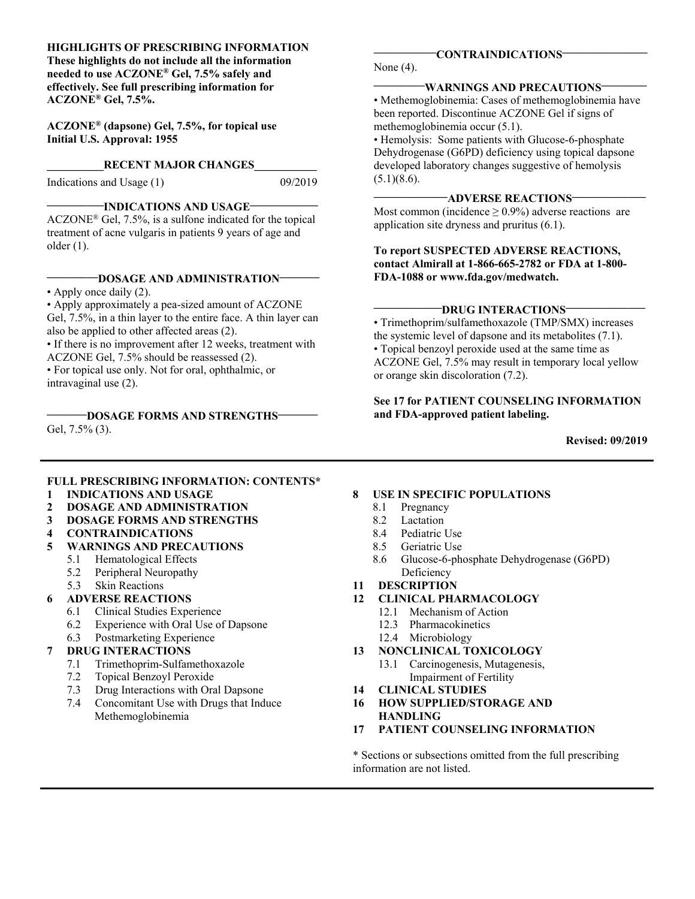#### **HIGHLIGHTS OF PRESCRIBING INFORMATION**

 **needed to use ACZONE® Gel, 7.5% safely and These highlights do not include all the information effectively. See full prescribing information for ACZONE® Gel, 7.5%.** 

**ACZONE® (dapsone) Gel, 7.5%, for topical use Initial U.S. Approval: 1955** 

#### **RECENT MAJOR CHANGES**

Indications and Usage (1) 09/2019

### **\_\_\_\_\_\_\_\_\_\_INDICATIONS AND USAGE\_\_\_\_\_\_\_\_\_\_\_\_**

 ACZONE® Gel, 7.5%, is a sulfone indicated for the topical treatment of acne vulgaris in patients 9 years of age and older (1).

#### **\_\_\_\_\_\_\_\_\_DOSAGE AND ADMINISTRATION\_\_\_\_\_\_\_**

• Apply once daily (2).

 • Apply approximately a pea-sized amount of ACZONE Gel, 7.5%, in a thin layer to the entire face. A thin layer can also be applied to other affected areas (2).

• If there is no improvement after 12 weeks, treatment with ACZONE Gel, 7.5% should be reassessed (2).

• For topical use only. Not for oral, ophthalmic, or intravaginal use (2).

Gel, 7.5% (3). **\_\_\_\_\_\_\_DOSAGE FORMS AND STRENGTHS\_\_\_\_\_\_\_** 

None (4).

#### **\_\_\_\_\_\_\_\_\_WARNINGS AND PRECAUTIONS\_\_\_\_\_\_\_\_**

• Methemoglobinemia: Cases of methemoglobinemia have been reported. Discontinue ACZONE Gel if signs of methemoglobinemia occur (5.1).

 developed laboratory changes suggestive of hemolysis • Hemolysis: Some patients with Glucose-6-phosphate Dehydrogenase (G6PD) deficiency using topical dapsone  $(5.1)(8.6)$ .

#### **\_\_\_\_\_\_\_\_\_\_\_\_\_ADVERSE REACTIONS\_\_\_\_\_\_\_\_\_\_\_\_\_**

Most common (incidence  $\geq$  0.9%) adverse reactions are application site dryness and pruritus (6.1).

#### **contact Almirall at 1-866-665-2782 or FDA at 1-800- To report SUSPECTED ADVERSE REACTIONS, FDA-1088 or www.fda.gov/medwatch.**

#### -DRUG INTERACTIONS-

HIGHLIGHTS OF PRESCRIBING INTOHINGTION<br>
ITERUSATION (SECRET AS AND INSTRACTIONS<br>
meetho lous ACZONE<sup>®</sup> Gel, 7.5% and information for<br>
deflectively. See full prescribing information for<br>
ACZONE<sup>®</sup> Gel, 7.5%, for topical use • Trimethoprim/sulfamethoxazole (TMP/SMX) increases the systemic level of dapsone and its metabolites (7.1). • Topical benzoyl peroxide used at the same time as ACZONE Gel, 7.5% may result in temporary local yellow or orange skin discoloration (7.2).

#### **See 17 for PATIENT COUNSELING INFORMATION and FDA-approved patient labeling.**

**Revised: 09/2019** 

#### **FULL PRESCRIBING INFORMATION: CONTENTS\***

- **1 INDICATIONS AND USAGE**
- **2 DOSAGE AND ADMINISTRATION**
- **3 DOSAGE FORMS AND STRENGTHS**
- **4 CONTRAINDICATIONS**
- **5 WARNINGS AND PRECAUTIONS** 
	- 5.1 Hematological Effects
	- 5.2 Peripheral Neuropathy
	- 5.3 Skin Reactions
- **6 ADVERSE REACTIONS** 
	- 6.1 Clinical Studies Experience
	- 6.2 Experience with Oral Use of Dapsone
	- 6.3 Postmarketing Experience

#### **7 DRUG INTERACTIONS**

- 7.1 Trimethoprim-Sulfamethoxazole
- 7.2 Topical Benzoyl Peroxide
- 7.3 Drug Interactions with Oral Dapsone
- 7.4 Concomitant Use with Drugs that Induce Methemoglobinemia

#### **8 USE IN SPECIFIC POPULATIONS**

- 8.1 Pregnancy
- 8.2 Lactation
- 8.4 Pediatric Use
- 8.5 Geriatric Use
- 8.6 Glucose-6-phosphate Dehydrogenase (G6PD) Deficiency
- **11 DESCRIPTION**
- **12 CLINICAL PHARMACOLOGY** 
	- 12.1 Mechanism of Action
	- 12.3 Pharmacokinetics
	- 12.4 Microbiology
- 13 **13 NONCLINICAL TOXICOLOGY** 
	- 13.1 Carcinogenesis, Mutagenesis, Impairment of Fertility
- $14$ **14 CLINICAL STUDIES**
- **16 HOW SUPPLIED/STORAGE AND HANDLING**
- **17 PATIENT COUNSELING INFORMATION**

\* Sections or subsections omitted from the full prescribing information are not listed.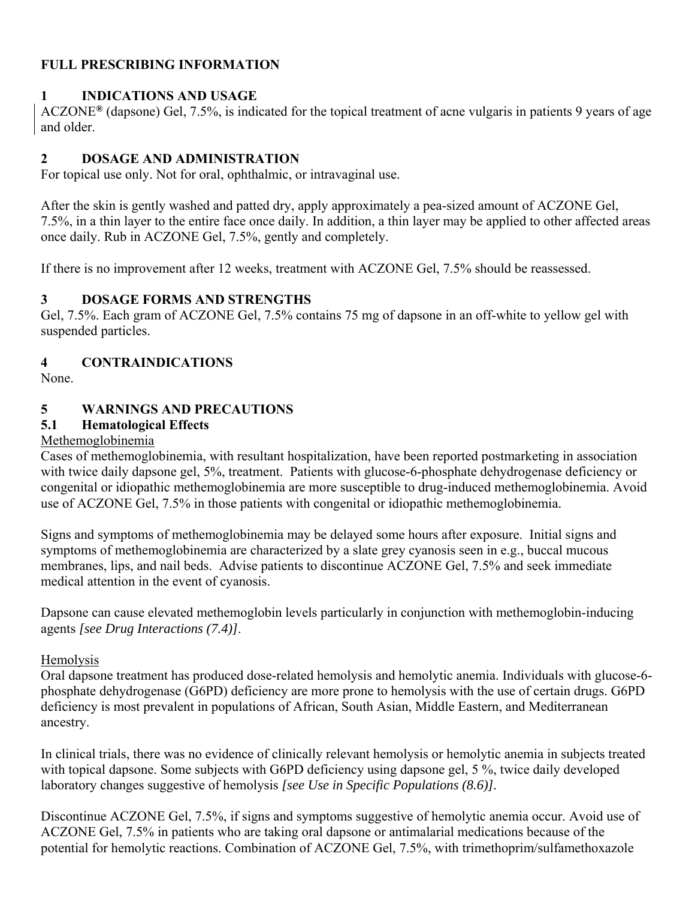### **FULL PRESCRIBING INFORMATION**

### **1 INDICATIONS AND USAGE**

ACZONE**®** (dapsone) Gel, 7.5%, is indicated for the topical treatment of acne vulgaris in patients 9 years of age and older.

### **2 DOSAGE AND ADMINISTRATION**

For topical use only. Not for oral, ophthalmic, or intravaginal use.

After the skin is gently washed and patted dry, apply approximately a pea-sized amount of ACZONE Gel, 7.5%, in a thin layer to the entire face once daily. In addition, a thin layer may be applied to other affected areas once daily. Rub in ACZONE Gel, 7.5%, gently and completely.

If there is no improvement after 12 weeks, treatment with ACZONE Gel, 7.5% should be reassessed.

### **3 DOSAGE FORMS AND STRENGTHS**

Gel, 7.5%. Each gram of ACZONE Gel, 7.5% contains 75 mg of dapsone in an off-white to yellow gel with suspended particles.

# **4 CONTRAINDICATIONS**

None.

# **5 WARNINGS AND PRECAUTIONS**

# **5.1 Hematological Effects**

### Methemoglobinemia

Cases of methemoglobinemia, with resultant hospitalization, have been reported postmarketing in association with twice daily dapsone gel, 5%, treatment. Patients with glucose-6-phosphate dehydrogenase deficiency or congenital or idiopathic methemoglobinemia are more susceptible to drug-induced methemoglobinemia. Avoid use of ACZONE Gel, 7.5% in those patients with congenital or idiopathic methemoglobinemia.

Signs and symptoms of methemoglobinemia may be delayed some hours after exposure. Initial signs and symptoms of methemoglobinemia are characterized by a slate grey cyanosis seen in e.g., buccal mucous membranes, lips, and nail beds. Advise patients to discontinue ACZONE Gel, 7.5% and seek immediate medical attention in the event of cyanosis.

Dapsone can cause elevated methemoglobin levels particularly in conjunction with methemoglobin-inducing agents *[see Drug Interactions (7.4)]*.

### **Hemolysis**

Oral dapsone treatment has produced dose-related hemolysis and hemolytic anemia. Individuals with glucose-6 phosphate dehydrogenase (G6PD) deficiency are more prone to hemolysis with the use of certain drugs. G6PD deficiency is most prevalent in populations of African, South Asian, Middle Eastern, and Mediterranean ancestry.

In clinical trials, there was no evidence of clinically relevant hemolysis or hemolytic anemia in subjects treated with topical dapsone. Some subjects with G6PD deficiency using dapsone gel, 5 %, twice daily developed laboratory changes suggestive of hemolysis *[see Use in Specific Populations (8.6)].* 

Discontinue ACZONE Gel, 7.5%, if signs and symptoms suggestive of hemolytic anemia occur. Avoid use of ACZONE Gel, 7.5% in patients who are taking oral dapsone or antimalarial medications because of the potential for hemolytic reactions. Combination of ACZONE Gel, 7.5%, with trimethoprim/sulfamethoxazole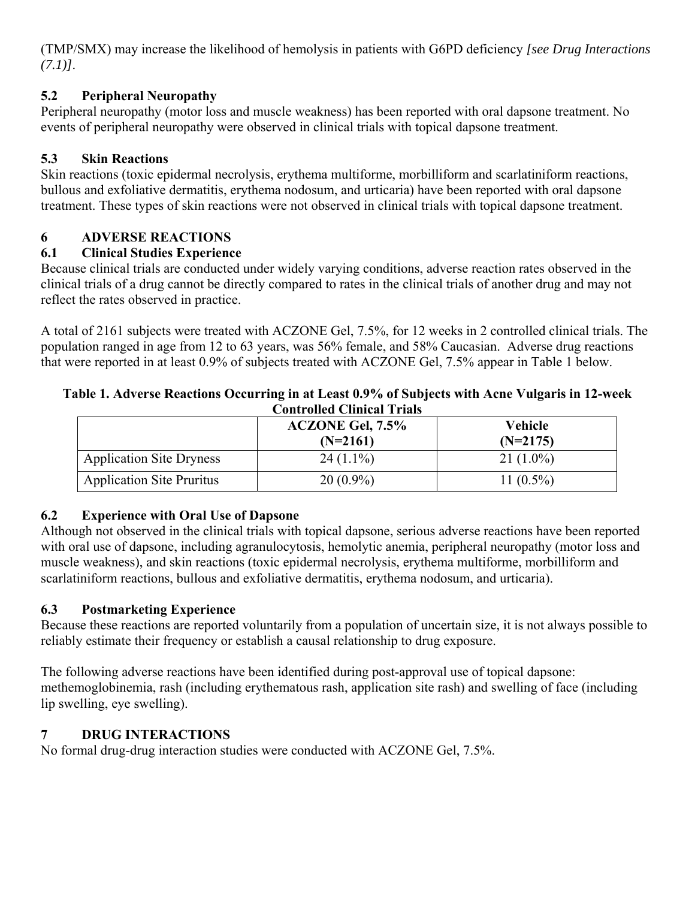(TMP/SMX) may increase the likelihood of hemolysis in patients with G6PD deficiency *[see Drug Interactions (7.1)]*.

# **5.2 Peripheral Neuropathy**

Peripheral neuropathy (motor loss and muscle weakness) has been reported with oral dapsone treatment. No events of peripheral neuropathy were observed in clinical trials with topical dapsone treatment.

# **5.3 Skin Reactions**

Skin reactions (toxic epidermal necrolysis, erythema multiforme, morbilliform and scarlatiniform reactions, bullous and exfoliative dermatitis, erythema nodosum, and urticaria) have been reported with oral dapsone treatment. These types of skin reactions were not observed in clinical trials with topical dapsone treatment.

# **6 ADVERSE REACTIONS**

# **6.1 Clinical Studies Experience**

Because clinical trials are conducted under widely varying conditions, adverse reaction rates observed in the clinical trials of a drug cannot be directly compared to rates in the clinical trials of another drug and may not reflect the rates observed in practice.

A total of 2161 subjects were treated with ACZONE Gel, 7.5%, for 12 weeks in 2 controlled clinical trials. The population ranged in age from 12 to 63 years, was 56% female, and 58% Caucasian. Adverse drug reactions that were reported in at least 0.9% of subjects treated with ACZONE Gel, 7.5% appear in Table 1 below.

### **Table 1. Adverse Reactions Occurring in at Least 0.9% of Subjects with Acne Vulgaris in 12-week Controlled Clinical Trials**

|                                  | <b>ACZONE Gel, 7.5%</b><br>$(N=2161)$ | Vehicle<br>$(N=2175)$ |
|----------------------------------|---------------------------------------|-----------------------|
| <b>Application Site Dryness</b>  | $24(1.1\%)$                           | $21(1.0\%)$           |
| <b>Application Site Pruritus</b> | $20(0.9\%)$                           | 11 $(0.5\%)$          |

# **6.2 Experience with Oral Use of Dapsone**

Although not observed in the clinical trials with topical dapsone, serious adverse reactions have been reported with oral use of dapsone, including agranulocytosis, hemolytic anemia, peripheral neuropathy (motor loss and muscle weakness), and skin reactions (toxic epidermal necrolysis, erythema multiforme, morbilliform and scarlatiniform reactions, bullous and exfoliative dermatitis, erythema nodosum, and urticaria).

# **6.3 Postmarketing Experience**

Because these reactions are reported voluntarily from a population of uncertain size, it is not always possible to reliably estimate their frequency or establish a causal relationship to drug exposure.

The following adverse reactions have been identified during post-approval use of topical dapsone: methemoglobinemia, rash (including erythematous rash, application site rash) and swelling of face (including lip swelling, eye swelling).

# **7 DRUG INTERACTIONS**

No formal drug-drug interaction studies were conducted with ACZONE Gel, 7.5%.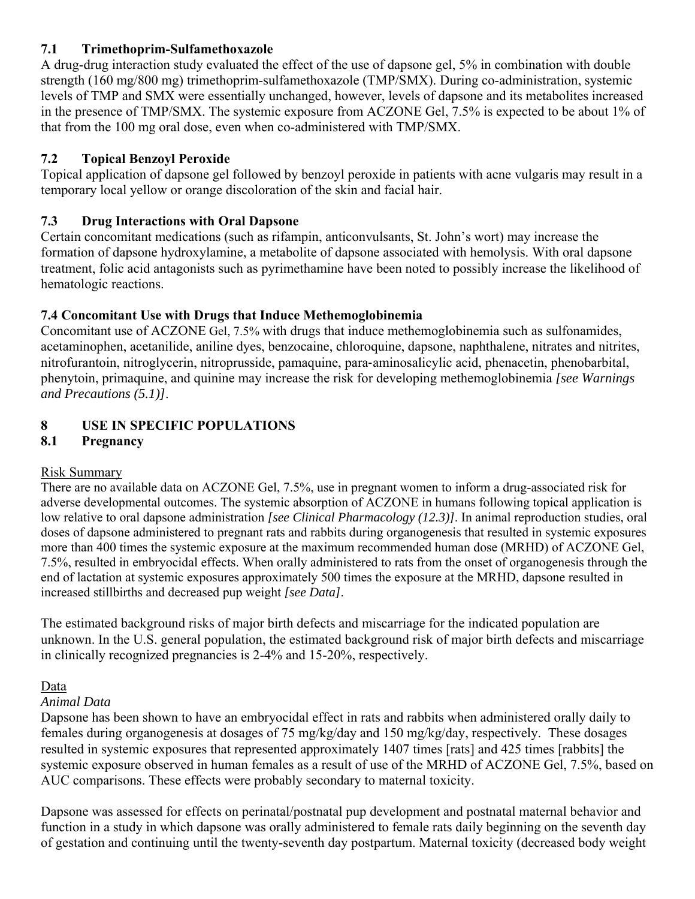### **7.1 Trimethoprim-Sulfamethoxazole**

A drug-drug interaction study evaluated the effect of the use of dapsone gel, 5% in combination with double strength (160 mg/800 mg) trimethoprim-sulfamethoxazole (TMP/SMX). During co-administration, systemic levels of TMP and SMX were essentially unchanged, however, levels of dapsone and its metabolites increased in the presence of TMP/SMX. The systemic exposure from ACZONE Gel, 7.5% is expected to be about 1% of that from the 100 mg oral dose, even when co-administered with TMP/SMX.

# **7.2 Topical Benzoyl Peroxide**

Topical application of dapsone gel followed by benzoyl peroxide in patients with acne vulgaris may result in a temporary local yellow or orange discoloration of the skin and facial hair.

# **7.3 Drug Interactions with Oral Dapsone**

Certain concomitant medications (such as rifampin, anticonvulsants, St. John's wort) may increase the formation of dapsone hydroxylamine, a metabolite of dapsone associated with hemolysis. With oral dapsone treatment, folic acid antagonists such as pyrimethamine have been noted to possibly increase the likelihood of hematologic reactions.

# **7.4 Concomitant Use with Drugs that Induce Methemoglobinemia**

Concomitant use of ACZONE Gel, 7.5% with drugs that induce methemoglobinemia such as sulfonamides, acetaminophen, acetanilide, aniline dyes, benzocaine, chloroquine, dapsone, naphthalene, nitrates and nitrites, nitrofurantoin, nitroglycerin, nitroprusside, pamaquine, para‐aminosalicylic acid, phenacetin, phenobarbital, phenytoin, primaquine, and quinine may increase the risk for developing methemoglobinemia *[see Warnings and Precautions (5.1)]*.

# **8 USE IN SPECIFIC POPULATIONS**

# **8.1 Pregnancy**

# Risk Summary

There are no available data on ACZONE Gel, 7.5%, use in pregnant women to inform a drug-associated risk for adverse developmental outcomes. The systemic absorption of ACZONE in humans following topical application is low relative to oral dapsone administration *[see Clinical Pharmacology (12.3)]*. In animal reproduction studies, oral doses of dapsone administered to pregnant rats and rabbits during organogenesis that resulted in systemic exposures more than 400 times the systemic exposure at the maximum recommended human dose (MRHD) of ACZONE Gel, 7.5%, resulted in embryocidal effects. When orally administered to rats from the onset of organogenesis through the end of lactation at systemic exposures approximately 500 times the exposure at the MRHD, dapsone resulted in increased stillbirths and decreased pup weight *[see Data]*.

The estimated background risks of major birth defects and miscarriage for the indicated population are unknown. In the U.S. general population, the estimated background risk of major birth defects and miscarriage in clinically recognized pregnancies is 2-4% and 15-20%, respectively.

# Data

# *Animal Data*

Dapsone has been shown to have an embryocidal effect in rats and rabbits when administered orally daily to females during organogenesis at dosages of 75 mg/kg/day and 150 mg/kg/day, respectively. These dosages resulted in systemic exposures that represented approximately 1407 times [rats] and 425 times [rabbits] the systemic exposure observed in human females as a result of use of the MRHD of ACZONE Gel, 7.5%, based on AUC comparisons. These effects were probably secondary to maternal toxicity.

Dapsone was assessed for effects on perinatal/postnatal pup development and postnatal maternal behavior and function in a study in which dapsone was orally administered to female rats daily beginning on the seventh day of gestation and continuing until the twenty-seventh day postpartum. Maternal toxicity (decreased body weight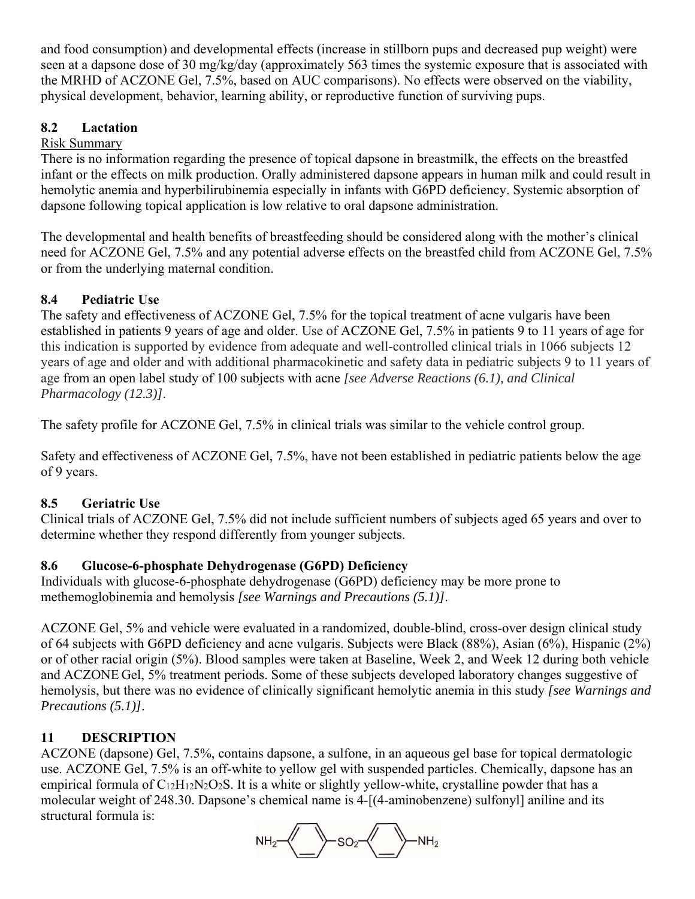and food consumption) and developmental effects (increase in stillborn pups and decreased pup weight) were seen at a dapsone dose of 30 mg/kg/day (approximately 563 times the systemic exposure that is associated with the MRHD of ACZONE Gel, 7.5%, based on AUC comparisons). No effects were observed on the viability, physical development, behavior, learning ability, or reproductive function of surviving pups.

# **8.2 Lactation**

# Risk Summary

There is no information regarding the presence of topical dapsone in breastmilk, the effects on the breastfed infant or the effects on milk production. Orally administered dapsone appears in human milk and could result in hemolytic anemia and hyperbilirubinemia especially in infants with G6PD deficiency. Systemic absorption of dapsone following topical application is low relative to oral dapsone administration.

The developmental and health benefits of breastfeeding should be considered along with the mother's clinical need for ACZONE Gel, 7.5% and any potential adverse effects on the breastfed child from ACZONE Gel, 7.5% or from the underlying maternal condition.

# **8.4 Pediatric Use**

The safety and effectiveness of ACZONE Gel, 7.5% for the topical treatment of acne vulgaris have been established in patients 9 years of age and older. Use of ACZONE Gel, 7.5% in patients 9 to 11 years of age for this indication is supported by evidence from adequate and well-controlled clinical trials in 1066 subjects 12 years of age and older and with additional pharmacokinetic and safety data in pediatric subjects 9 to 11 years of age from an open label study of 100 subjects with acne *[see Adverse Reactions (6.1), and Clinical Pharmacology (12.3)]*.

The safety profile for ACZONE Gel, 7.5% in clinical trials was similar to the vehicle control group.

Safety and effectiveness of ACZONE Gel, 7.5%, have not been established in pediatric patients below the age of 9 years.

# **8.5 Geriatric Use**

Clinical trials of ACZONE Gel, 7.5% did not include sufficient numbers of subjects aged 65 years and over to determine whether they respond differently from younger subjects.

# **8.6 Glucose-6-phosphate Dehydrogenase (G6PD) Deficiency**

Individuals with glucose-6-phosphate dehydrogenase (G6PD) deficiency may be more prone to methemoglobinemia and hemolysis *[see Warnings and Precautions (5.1)]*.

ACZONE Gel, 5% and vehicle were evaluated in a randomized, double-blind, cross-over design clinical study of 64 subjects with G6PD deficiency and acne vulgaris. Subjects were Black (88%), Asian (6%), Hispanic (2%) or of other racial origin (5%). Blood samples were taken at Baseline, Week 2, and Week 12 during both vehicle and ACZONE Gel, 5% treatment periods. Some of these subjects developed laboratory changes suggestive of hemolysis, but there was no evidence of clinically significant hemolytic anemia in this study *[see Warnings and Precautions (5.1)]*.

# **11 DESCRIPTION**

ACZONE (dapsone) Gel, 7.5%, contains dapsone, a sulfone, in an aqueous gel base for topical dermatologic use. ACZONE Gel, 7.5% is an off-white to yellow gel with suspended particles. Chemically, dapsone has an empirical formula of  $C_{12}H_{12}N_2O_2S$ . It is a white or slightly yellow-white, crystalline powder that has a molecular weight of 248.30. Dapsone's chemical name is 4-[(4-aminobenzene) sulfonyl] aniline and its structural formula is:

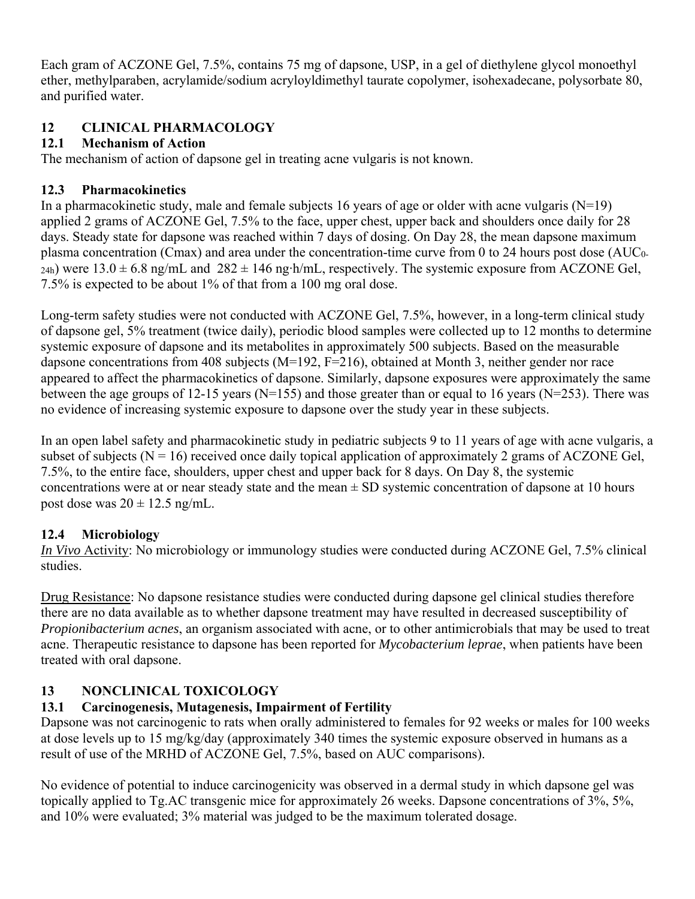Each gram of ACZONE Gel, 7.5%, contains 75 mg of dapsone, USP, in a gel of diethylene glycol monoethyl ether, methylparaben, acrylamide/sodium acryloyldimethyl taurate copolymer, isohexadecane, polysorbate 80, and purified water.

# **12 CLINICAL PHARMACOLOGY**

# **12.1 Mechanism of Action**

The mechanism of action of dapsone gel in treating acne vulgaris is not known.

# **12.3 Pharmacokinetics**

In a pharmacokinetic study, male and female subjects 16 years of age or older with acne vulgaris  $(N=19)$ applied 2 grams of ACZONE Gel, 7.5% to the face, upper chest, upper back and shoulders once daily for 28 days. Steady state for dapsone was reached within 7 days of dosing. On Day 28, the mean dapsone maximum plasma concentration (Cmax) and area under the concentration-time curve from 0 to 24 hours post dose (AUC0-  $_{24h}$ ) were  $13.0 \pm 6.8$  ng/mL and  $282 \pm 146$  ng⋅h/mL, respectively. The systemic exposure from ACZONE Gel, 7.5% is expected to be about 1% of that from a 100 mg oral dose.

Long-term safety studies were not conducted with ACZONE Gel, 7.5%, however, in a long-term clinical study of dapsone gel, 5% treatment (twice daily), periodic blood samples were collected up to 12 months to determine systemic exposure of dapsone and its metabolites in approximately 500 subjects. Based on the measurable dapsone concentrations from 408 subjects (M=192, F=216), obtained at Month 3, neither gender nor race appeared to affect the pharmacokinetics of dapsone. Similarly, dapsone exposures were approximately the same between the age groups of 12-15 years (N=155) and those greater than or equal to 16 years (N=253). There was no evidence of increasing systemic exposure to dapsone over the study year in these subjects.

In an open label safety and pharmacokinetic study in pediatric subjects 9 to 11 years of age with acne vulgaris, a subset of subjects ( $N = 16$ ) received once daily topical application of approximately 2 grams of ACZONE Gel, 7.5%, to the entire face, shoulders, upper chest and upper back for 8 days. On Day 8, the systemic concentrations were at or near steady state and the mean  $\pm$  SD systemic concentration of dapsone at 10 hours post dose was  $20 \pm 12.5$  ng/mL.

# **12.4 Microbiology**

*In Vivo* Activity: No microbiology or immunology studies were conducted during ACZONE Gel, 7.5% clinical studies.

Drug Resistance: No dapsone resistance studies were conducted during dapsone gel clinical studies therefore there are no data available as to whether dapsone treatment may have resulted in decreased susceptibility of *Propionibacterium acnes*, an organism associated with acne, or to other antimicrobials that may be used to treat acne. Therapeutic resistance to dapsone has been reported for *Mycobacterium leprae*, when patients have been treated with oral dapsone.

# **13 NONCLINICAL TOXICOLOGY**

# **13.1 Carcinogenesis, Mutagenesis, Impairment of Fertility**

Dapsone was not carcinogenic to rats when orally administered to females for 92 weeks or males for 100 weeks at dose levels up to 15 mg/kg/day (approximately 340 times the systemic exposure observed in humans as a result of use of the MRHD of ACZONE Gel, 7.5%, based on AUC comparisons).

No evidence of potential to induce carcinogenicity was observed in a dermal study in which dapsone gel was topically applied to Tg.AC transgenic mice for approximately 26 weeks. Dapsone concentrations of 3%, 5%, and 10% were evaluated; 3% material was judged to be the maximum tolerated dosage.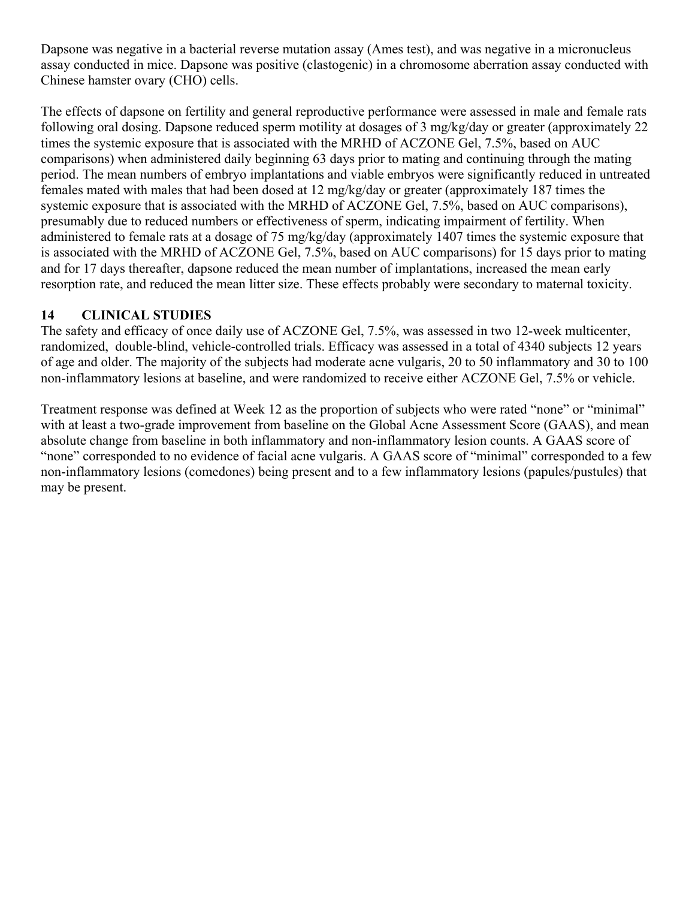Dapsone was negative in a bacterial reverse mutation assay (Ames test), and was negative in a micronucleus assay conducted in mice. Dapsone was positive (clastogenic) in a chromosome aberration assay conducted with Chinese hamster ovary (CHO) cells.

The effects of dapsone on fertility and general reproductive performance were assessed in male and female rats following oral dosing. Dapsone reduced sperm motility at dosages of 3 mg/kg/day or greater (approximately 22 times the systemic exposure that is associated with the MRHD of ACZONE Gel, 7.5%, based on AUC comparisons) when administered daily beginning 63 days prior to mating and continuing through the mating period. The mean numbers of embryo implantations and viable embryos were significantly reduced in untreated females mated with males that had been dosed at 12 mg/kg/day or greater (approximately 187 times the systemic exposure that is associated with the MRHD of ACZONE Gel, 7.5%, based on AUC comparisons), presumably due to reduced numbers or effectiveness of sperm, indicating impairment of fertility. When administered to female rats at a dosage of 75 mg/kg/day (approximately 1407 times the systemic exposure that is associated with the MRHD of ACZONE Gel, 7.5%, based on AUC comparisons) for 15 days prior to mating and for 17 days thereafter, dapsone reduced the mean number of implantations, increased the mean early resorption rate, and reduced the mean litter size. These effects probably were secondary to maternal toxicity.

### **14 CLINICAL STUDIES**

The safety and efficacy of once daily use of ACZONE Gel, 7.5%, was assessed in two 12-week multicenter, randomized, double-blind, vehicle-controlled trials. Efficacy was assessed in a total of 4340 subjects 12 years of age and older. The majority of the subjects had moderate acne vulgaris, 20 to 50 inflammatory and 30 to 100 non-inflammatory lesions at baseline, and were randomized to receive either ACZONE Gel, 7.5% or vehicle.

Treatment response was defined at Week 12 as the proportion of subjects who were rated "none" or "minimal" with at least a two-grade improvement from baseline on the Global Acne Assessment Score (GAAS), and mean absolute change from baseline in both inflammatory and non-inflammatory lesion counts. A GAAS score of "none" corresponded to no evidence of facial acne vulgaris. A GAAS score of "minimal" corresponded to a few non-inflammatory lesions (comedones) being present and to a few inflammatory lesions (papules/pustules) that may be present.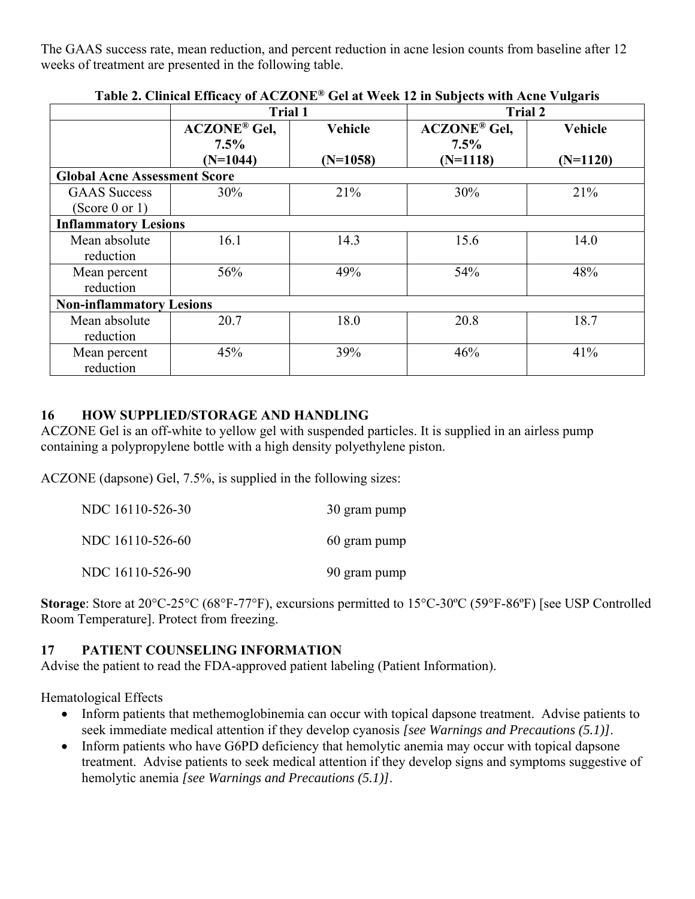The GAAS success rate, mean reduction, and percent reduction in acne lesion counts from baseline after 12 weeks of treatment are presented in the following table.

|                                     | Table 4. Chineal Emeaty of ACZONE TOG at Week 12 in Subjects with Ache Vulgaris<br><b>Trial 1</b> |                | <b>Trial 2</b>                 |            |
|-------------------------------------|---------------------------------------------------------------------------------------------------|----------------|--------------------------------|------------|
|                                     | <b>ACZONE®</b> Gel,<br>$7.5\%$                                                                    | <b>Vehicle</b> | <b>ACZONE®</b> Gel,<br>$7.5\%$ | Vehicle    |
|                                     | $(N=1044)$                                                                                        | $(N=1058)$     | $(N=1118)$                     | $(N=1120)$ |
| <b>Global Acne Assessment Score</b> |                                                                                                   |                |                                |            |
| <b>GAAS</b> Success                 | 30%                                                                                               | 21%            | 30%                            | 21%        |
| (Score 0 or 1)                      |                                                                                                   |                |                                |            |
| <b>Inflammatory Lesions</b>         |                                                                                                   |                |                                |            |
| Mean absolute<br>reduction          | 16.1                                                                                              | 14.3           | 15.6                           | 14.0       |
| Mean percent<br>reduction           | 56%                                                                                               | 49%            | 54%                            | 48%        |
| <b>Non-inflammatory Lesions</b>     |                                                                                                   |                |                                |            |
| Mean absolute<br>reduction          | 20.7                                                                                              | 18.0           | 20.8                           | 18.7       |
| Mean percent<br>reduction           | 45%                                                                                               | 39%            | 46%                            | 41%        |

**Table 2. Clinical Efficacy of ACZONE® Gel at Week 12 in Subjects with Acne Vulgaris** 

# **16 HOW SUPPLIED/STORAGE AND HANDLING**

ACZONE Gel is an off-white to yellow gel with suspended particles. It is supplied in an airless pump containing a polypropylene bottle with a high density polyethylene piston.

ACZONE (dapsone) Gel, 7.5%, is supplied in the following sizes:

| NDC 16110-526-30 | 30 gram pump |
|------------------|--------------|
| NDC 16110-526-60 | 60 gram pump |
| NDC 16110-526-90 | 90 gram pump |

 Room Temperature]. Protect from freezing. **Storage**: Store at 20°C-25°C (68°F-77°F), excursions permitted to 15°C-30ºC (59°F-86ºF) [see USP Controlled

# **17 PATIENT COUNSELING INFORMATION**

Advise the patient to read the FDA-approved patient labeling (Patient Information).

Hematological Effects

- Inform patients that methemoglobinemia can occur with topical dapsone treatment. Advise patients to seek immediate medical attention if they develop cyanosis *[see Warnings and Precautions (5.1)]*.
- Inform patients who have G6PD deficiency that hemolytic anemia may occur with topical dapsone treatment. Advise patients to seek medical attention if they develop signs and symptoms suggestive of hemolytic anemia *[see Warnings and Precautions (5.1)]*.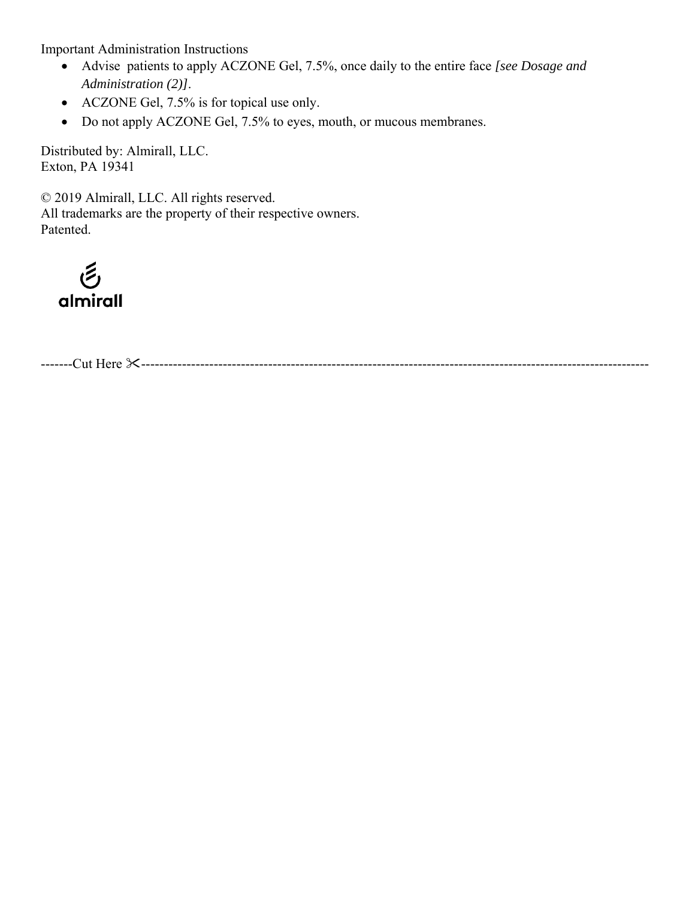Important Administration Instructions

- Advise patients to apply ACZONE Gel, 7.5%, once daily to the entire face *[see Dosage and Administration (2)]*.
- ACZONE Gel, 7.5% is for topical use only.
- Do not apply ACZONE Gel, 7.5% to eyes, mouth, or mucous membranes.

Distributed by: Almirall, LLC. Exton, PA 19341

© 2019 Almirall, LLC. All rights reserved. All trademarks are the property of their respective owners. Patented.

 $\tilde{\epsilon}$ almirall

-------Cut Here ----------------------------------------------------------------------------------------------------------------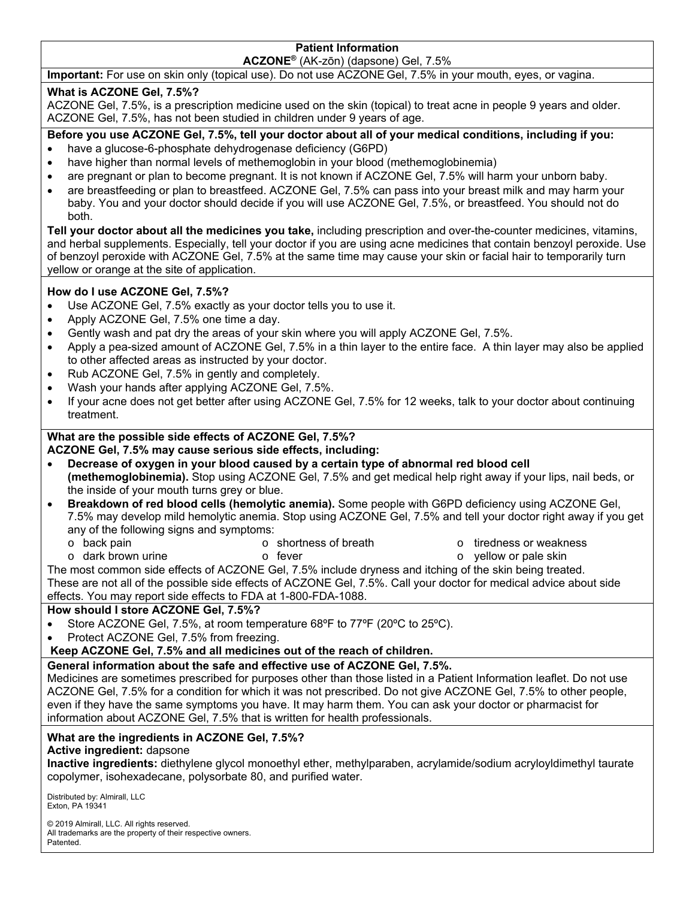# **Patient Information**

**ACZONE®** (AK-zōn) (dapsone) Gel, 7.5%

**Important:** For use on skin only (topical use). Do not use ACZONE Gel, 7.5% in your mouth, eyes, or vagina.

#### **What is ACZONE Gel, 7.5%?**

 ACZONE Gel, 7.5%, is a prescription medicine used on the skin (topical) to treat acne in people 9 years and older. ACZONE Gel, 7.5%, has not been studied in children under 9 years of age.

**Before you use ACZONE Gel, 7.5%, tell your doctor about all of your medical conditions, including if you:** 

- have a glucose-6-phosphate dehydrogenase deficiency (G6PD)
- have higher than normal levels of methemoglobin in your blood (methemoglobinemia)
- are pregnant or plan to become pregnant. It is not known if ACZONE Gel, 7.5% will harm your unborn baby.
- are breastfeeding or plan to breastfeed. ACZONE Gel, 7.5% can pass into your breast milk and may harm your baby. You and your doctor should decide if you will use ACZONE Gel, 7.5%, or breastfeed. You should not do both.

**Tell your doctor about all the medicines you take,** including prescription and over-the-counter medicines, vitamins, and herbal supplements. Especially, tell your doctor if you are using acne medicines that contain benzoyl peroxide. Use of benzoyl peroxide with ACZONE Gel, 7.5% at the same time may cause your skin or facial hair to temporarily turn yellow or orange at the site of application.

#### **How do I use ACZONE Gel, 7.5%?**

- Use ACZONE Gel, 7.5% exactly as your doctor tells you to use it.
- Apply ACZONE Gel, 7.5% one time a day.
- Gently wash and pat dry the areas of your skin where you will apply ACZONE Gel, 7.5%.
- Apply a pea-sized amount of ACZONE Gel, 7.5% in a thin layer to the entire face. A thin layer may also be applied to other affected areas as instructed by your doctor.
- Rub ACZONE Gel, 7.5% in gently and completely.
- Wash your hands after applying ACZONE Gel, 7.5%.
- If your acne does not get better after using ACZONE Gel, 7.5% for 12 weeks, talk to your doctor about continuing treatment.

### **What are the possible side effects of ACZONE Gel, 7.5%?**

#### **ACZONE Gel, 7.5% may cause serious side effects, including:**

- **Decrease of oxygen in your blood caused by a certain type of abnormal red blood cell (methemoglobinemia).** Stop using ACZONE Gel, 7.5% and get medical help right away if your lips, nail beds, or the inside of your mouth turns grey or blue.
- **Breakdown of red blood cells (hemolytic anemia).** Some people with G6PD deficiency using ACZONE Gel, 7.5% may develop mild hemolytic anemia. Stop using ACZONE Gel, 7.5% and tell your doctor right away if you get any of the following signs and symptoms:
	- o back pain o dark brown urine o shortness of breath
		- o fever
- o yellow or pale skin o tiredness or weakness

The most common side effects of ACZONE Gel, 7.5% include dryness and itching of the skin being treated. These are not all of the possible side effects of ACZONE Gel, 7.5%. Call your doctor for medical advice about side effects. You may report side effects to FDA at 1-800-FDA-1088.

#### **How should I store ACZONE Gel, 7.5%?**

- Store ACZONE Gel, 7.5%, at room temperature 68ºF to 77ºF (20ºC to 25ºC).
- Protect ACZONE Gel, 7.5% from freezing.
- **Keep ACZONE Gel, 7.5% and all medicines out of the reach of children.**

### **General information about the safe and effective use of ACZONE Gel, 7.5%.**

Medicines are sometimes prescribed for purposes other than those listed in a Patient Information leaflet. Do not use ACZONE Gel, 7.5% for a condition for which it was not prescribed. Do not give ACZONE Gel, 7.5% to other people, even if they have the same symptoms you have. It may harm them. You can ask your doctor or pharmacist for information about ACZONE Gel, 7.5% that is written for health professionals.

#### **What are the ingredients in ACZONE Gel, 7.5%?**

#### **Active ingredient:** dapsone

**Inactive ingredients:** diethylene glycol monoethyl ether, methylparaben, acrylamide/sodium acryloyldimethyl taurate copolymer, isohexadecane, polysorbate 80, and purified water.

 Exton, PA 19341 Distributed by: Almirall, LLC

© 2019 Almirall, LLC. All rights reserved. All trademarks are the property of their respective owners. **Patented**